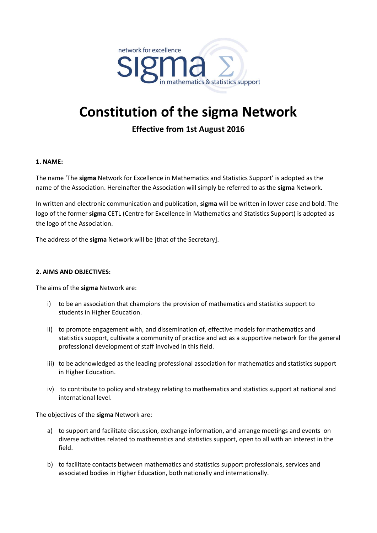

# **Constitution of the sigma Network**

# **Effective from 1st August 2016**

# **1. NAME:**

The name 'The **sigma** Network for Excellence in Mathematics and Statistics Support' is adopted as the name of the Association. Hereinafter the Association will simply be referred to as the **sigma** Network.

In written and electronic communication and publication, **sigma** will be written in lower case and bold. The logo of the former **sigma** CETL (Centre for Excellence in Mathematics and Statistics Support) is adopted as the logo of the Association.

The address of the **sigma** Network will be [that of the Secretary].

#### **2. AIMS AND OBJECTIVES:**

The aims of the **sigma** Network are:

- i) to be an association that champions the provision of mathematics and statistics support to students in Higher Education.
- ii) to promote engagement with, and dissemination of, effective models for mathematics and statistics support, cultivate a community of practice and act as a supportive network for the general professional development of staff involved in this field.
- iii) to be acknowledged as the leading professional association for mathematics and statistics support in Higher Education.
- iv) to contribute to policy and strategy relating to mathematics and statistics support at national and international level.

The objectives of the **sigma** Network are:

- a) to support and facilitate discussion, exchange information, and arrange meetings and events on diverse activities related to mathematics and statistics support, open to all with an interest in the field.
- b) to facilitate contacts between mathematics and statistics support professionals, services and associated bodies in Higher Education, both nationally and internationally.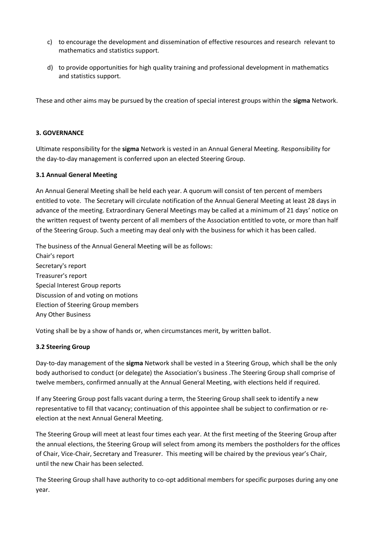- c) to encourage the development and dissemination of effective resources and research relevant to mathematics and statistics support.
- d) to provide opportunities for high quality training and professional development in mathematics and statistics support.

These and other aims may be pursued by the creation of special interest groups within the **sigma** Network.

# **3. GOVERNANCE**

Ultimate responsibility for the **sigma** Network is vested in an Annual General Meeting. Responsibility for the day-to-day management is conferred upon an elected Steering Group.

# **3.1 Annual General Meeting**

An Annual General Meeting shall be held each year. A quorum will consist of ten percent of members entitled to vote. The Secretary will circulate notification of the Annual General Meeting at least 28 days in advance of the meeting. Extraordinary General Meetings may be called at a minimum of 21 days' notice on the written request of twenty percent of all members of the Association entitled to vote, or more than half of the Steering Group. Such a meeting may deal only with the business for which it has been called.

The business of the Annual General Meeting will be as follows: Chair's report Secretary's report Treasurer's report Special Interest Group reports Discussion of and voting on motions Election of Steering Group members Any Other Business

Voting shall be by a show of hands or, when circumstances merit, by written ballot.

# **3.2 Steering Group**

Day-to-day management of the **sigma** Network shall be vested in a Steering Group, which shall be the only body authorised to conduct (or delegate) the Association's business .The Steering Group shall comprise of twelve members, confirmed annually at the Annual General Meeting, with elections held if required.

If any Steering Group post falls vacant during a term, the Steering Group shall seek to identify a new representative to fill that vacancy; continuation of this appointee shall be subject to confirmation or reelection at the next Annual General Meeting.

The Steering Group will meet at least four times each year. At the first meeting of the Steering Group after the annual elections, the Steering Group will select from among its members the postholders for the offices of Chair, Vice-Chair, Secretary and Treasurer. This meeting will be chaired by the previous year's Chair, until the new Chair has been selected.

The Steering Group shall have authority to co-opt additional members for specific purposes during any one year.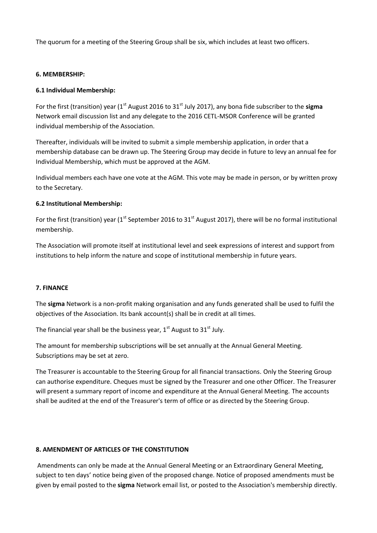The quorum for a meeting of the Steering Group shall be six, which includes at least two officers.

#### **6. MEMBERSHIP:**

# **6.1 Individual Membership:**

For the first (transition) year (1st August 2016 to 31st July 2017), any bona fide subscriber to the **sigma**  Network email discussion list and any delegate to the 2016 CETL-MSOR Conference will be granted individual membership of the Association.

Thereafter, individuals will be invited to submit a simple membership application, in order that a membership database can be drawn up. The Steering Group may decide in future to levy an annual fee for Individual Membership, which must be approved at the AGM.

Individual members each have one vote at the AGM. This vote may be made in person, or by written proxy to the Secretary.

# **6.2 Institutional Membership:**

For the first (transition) year ( $1<sup>st</sup>$  September 2016 to 31 $<sup>st</sup>$  August 2017), there will be no formal institutional</sup> membership.

The Association will promote itself at institutional level and seek expressions of interest and support from institutions to help inform the nature and scope of institutional membership in future years.

#### **7. FINANCE**

The **sigma** Network is a non-profit making organisation and any funds generated shall be used to fulfil the objectives of the Association. Its bank account(s) shall be in credit at all times.

The financial year shall be the business year,  $1<sup>st</sup>$  August to  $31<sup>st</sup>$  July.

The amount for membership subscriptions will be set annually at the Annual General Meeting. Subscriptions may be set at zero.

The Treasurer is accountable to the Steering Group for all financial transactions. Only the Steering Group can authorise expenditure. Cheques must be signed by the Treasurer and one other Officer. The Treasurer will present a summary report of income and expenditure at the Annual General Meeting. The accounts shall be audited at the end of the Treasurer's term of office or as directed by the Steering Group.

#### **8. AMENDMENT OF ARTICLES OF THE CONSTITUTION**

Amendments can only be made at the Annual General Meeting or an Extraordinary General Meeting, subject to ten days' notice being given of the proposed change. Notice of proposed amendments must be given by email posted to the **sigma** Network email list, or posted to the Association's membership directly.